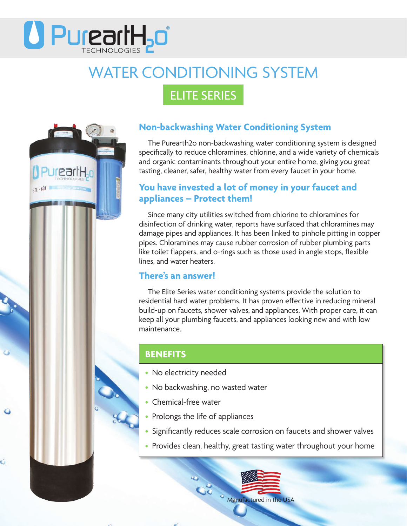

# WATER CONDITIONING SYSTEM

## ELITE SERIES



Ó

### **Non-backwashing Water Conditioning System**

The Purearth2o non-backwashing water conditioning system is designed specifically to reduce chloramines, chlorine, and a wide variety of chemicals and organic contaminants throughout your entire home, giving you great tasting, cleaner, safer, healthy water from every faucet in your home.

#### **You have invested a lot of money in your faucet and appliances – Protect them!**

Since many city utilities switched from chlorine to chloramines for disinfection of drinking water, reports have surfaced that chloramines may damage pipes and appliances. It has been linked to pinhole pitting in copper pipes. Chloramines may cause rubber corrosion of rubber plumbing parts like toilet flappers, and o-rings such as those used in angle stops, flexible lines, and water heaters.

#### **There's an answer!**

The Elite Series water conditioning systems provide the solution to residential hard water problems. It has proven effective in reducing mineral build-up on faucets, shower valves, and appliances. With proper care, it can keep all your plumbing faucets, and appliances looking new and with low maintenance.

#### **BENEFITS**

- No electricity needed
- No backwashing, no wasted water
- Chemical-free water
- Prolongs the life of appliances
- Significantly reduces scale corrosion on faucets and shower valves
- Provides clean, healthy, great tasting water throughout your home

**COMPORT OF STRANGE COMPORTER**